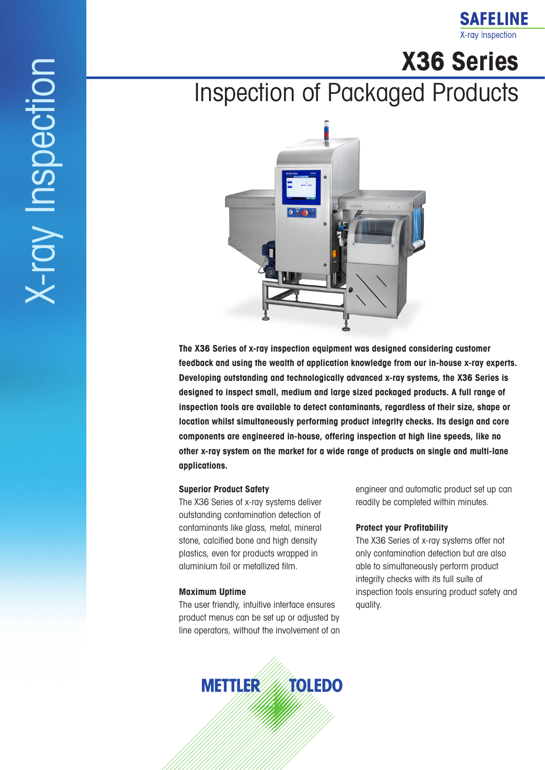### **SAFELINE** X-ray Inspection

**X36 Series** 

# Inspection of Packaged Products



**The X36 Series of x-ray inspection equipment was designed considering customer feedback and using the wealth of application knowledge from our in-house x-ray experts. Developing outstanding and technologically advanced x-ray systems, the X36 Series is designed to inspect small, medium and large sized packaged products. A full range of inspection tools are available to detect contaminants, regardless of their size, shape or location whilst simultaneously performing product integrity checks. Its design and core components are engineered in-house, offering inspection at high line speeds, like no other x-ray system on the market for a wide range of products on single and multi-lane applications.**

#### **Superior Product Safety**

The X36 Series of x-ray systems deliver outstanding contamination detection of contaminants like glass, metal, mineral stone, calcified bone and high density plastics, even for products wrapped in aluminium foil or metallized film.

#### **Maximum Uptime**

The user friendly, intuitive interface ensures product menus can be set up or adjusted by line operators, without the involvement of an engineer and automatic product set up can readily be completed within minutes.

#### **Protect your Profitability**

The X36 Series of x-ray systems offer not only contamination detection but are also able to simultaneously perform product integrity checks with its full suite of inspection tools ensuring product safety and quality.

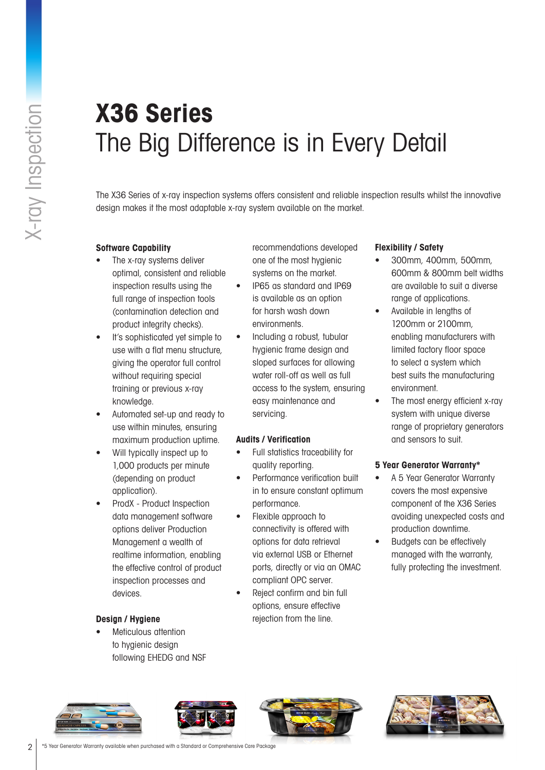# **X36 Series** The Big Difference is in Every Detail

The X36 Series of x-ray inspection systems offers consistent and reliable inspection results whilst the innovative design makes it the most adaptable x-ray system available on the market.

#### **Software Capability**

- The x-ray systems deliver optimal, consistent and reliable inspection results using the full range of inspection tools (contamination detection and product integrity checks).
- It's sophisticated yet simple to use with a flat menu structure, giving the operator full control without requiring special training or previous x-ray knowledge.
- Automated set-up and ready to use within minutes, ensuring maximum production uptime.
- Will typically inspect up to 1,000 products per minute (depending on product application).
- ProdX Product Inspection data management software options deliver Production Management a wealth of realtime information, enabling the effective control of product inspection processes and devices.

#### **Design / Hygiene**

• Meticulous attention to hygienic design following EHEDG and NSF recommendations developed one of the most hygienic systems on the market.

- IP65 as standard and IP69 is available as an option for harsh wash down environments.
- Including a robust, tubular hygienic frame design and sloped surfaces for allowing water roll-off as well as full access to the system, ensuring easy maintenance and servicing.

#### **Audits / Verification**

- Full statistics traceability for quality reporting.
- Performance verification built in to ensure constant optimum performance.
- Flexible approach to connectivity is offered with options for data retrieval via external USB or Ethernet ports, directly or via an OMAC compliant OPC server.
- Reject confirm and bin full options, ensure effective rejection from the line.

#### **Flexibility / Safety**

- 300mm, 400mm, 500mm, 600mm & 800mm belt widths are available to suit a diverse range of applications.
- Available in lengths of 1200mm or 2100mm, enabling manufacturers with limited factory floor space to select a system which best suits the manufacturing environment.
- The most energy efficient x-ray system with unique diverse range of proprietary generators and sensors to suit.

#### **5 Year Generator Warranty\***

- A 5 Year Generator Warranty covers the most expensive component of the X36 Series avoiding unexpected costs and production downtime.
- Budgets can be effectively managed with the warranty, fully protecting the investment.







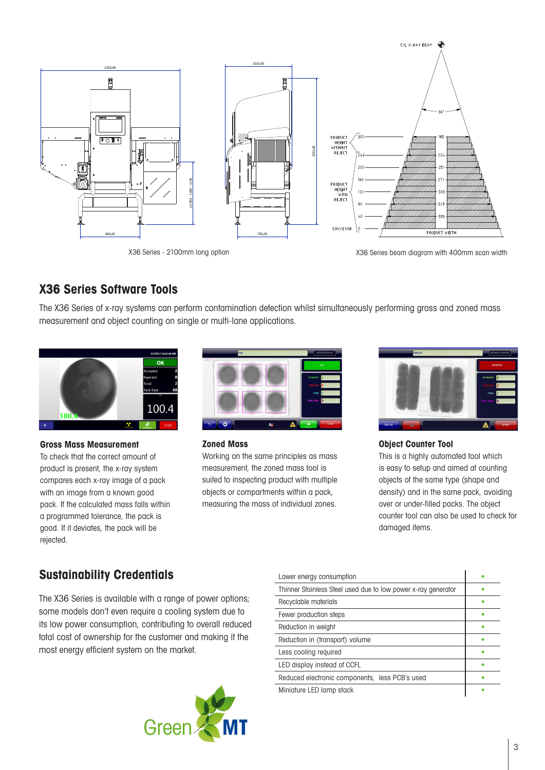

## **X36 Series Software Tools**

The X36 Series of x-ray systems can perform contamination detection whilst simultaneously performing gross and zoned mass measurement and object counting on single or multi-lane applications.



#### **Gross Mass Measurement**

To check that the correct amount of product is present, the x-ray system compares each x-ray image of a pack with an image from a known good pack. If the calculated mass falls within a programmed tolerance, the pack is good. If it deviates, the pack will be rejected.



#### **Zoned Mass**

Working on the same principles as mass measurement, the zoned mass tool is suited to inspecting product with multiple objects or compartments within a pack, measuring the mass of individual zones.



### **Object Counter Tool**

This is a highly automated tool which is easy to setup and aimed at counting objects of the same type (shape and density) and in the same pack, avoiding over or under-filled packs. The object counter tool can also be used to check for damaged items.

## **Sustainability Credentials**

The X36 Series is available with a range of power options; some models don't even require a cooling system due to its low power consumption, contributing to overall reduced total cost of ownership for the customer and making it the most energy efficient system on the market.



| Lower energy consumption                                      |  |
|---------------------------------------------------------------|--|
| Thinner Stainless Steel used due to low power x-ray generator |  |
| Recyclable materials                                          |  |
| Fewer production steps                                        |  |
| Reduction in weight                                           |  |
| Reduction in (transport) volume                               |  |
| Less cooling required                                         |  |
| LED display instead of CCFL                                   |  |
| Reduced electronic components, less PCB's used                |  |
| Miniature LED lamp stack                                      |  |